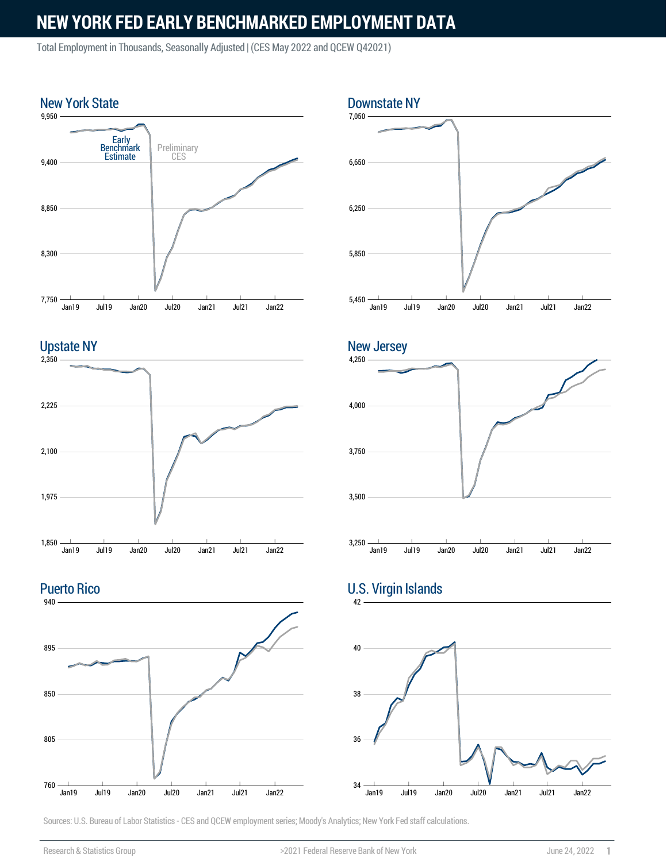Total Employment in Thousands, Seasonally Adjusted | (CES May 2022 and QCEW Q42021)





Puerto Rico







#### 42 U.S. Virgin Islands

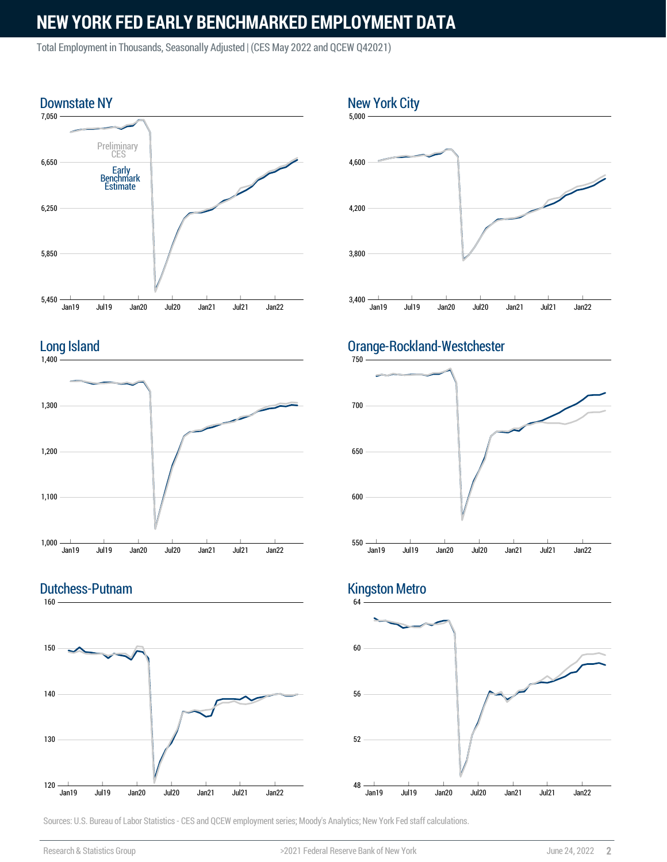Total Employment in Thousands, Seasonally Adjusted | (CES May 2022 and QCEW Q42021)





#### 160 Dutchess-Putnam





### Orange-Rockland-Westchester



## Kingston Metro

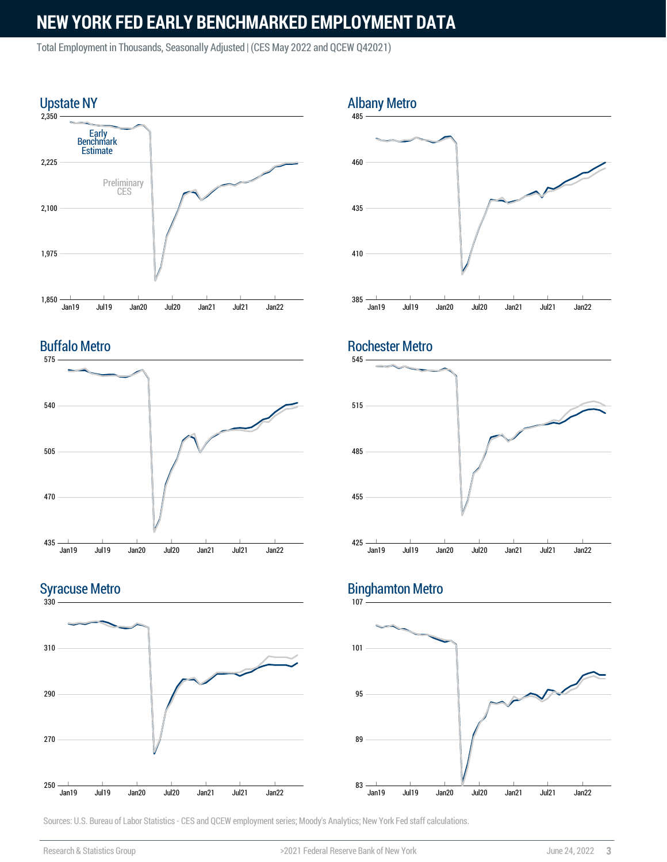Total Employment in Thousands, Seasonally Adjusted | (CES May 2022 and QCEW Q42021)



### Buffalo Metro



### Syracuse Metro





### Rochester Metro



## Binghamton Metro

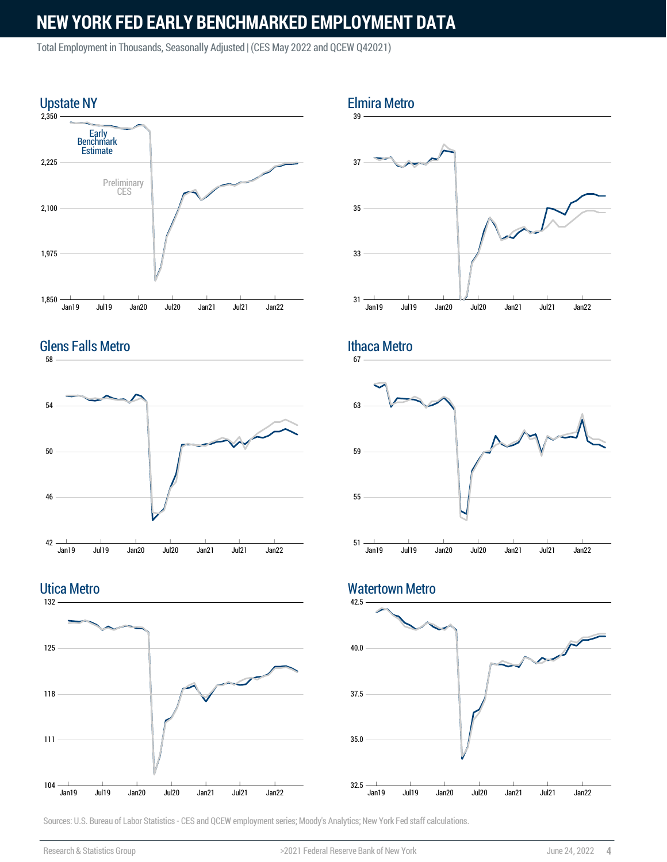Total Employment in Thousands, Seasonally Adjusted | (CES May 2022 and QCEW Q42021)





Utica Metro